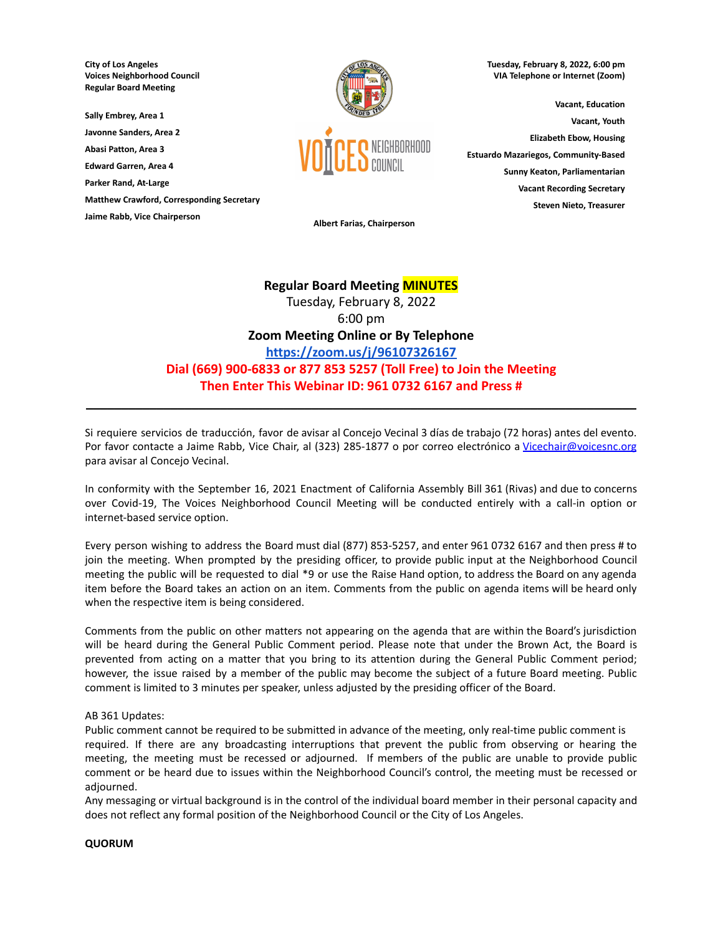**City of Los Angeles Voices Neighborhood Council Regular Board Meeting**

**Sally Embrey, Area 1**

**Javonne Sanders, Area 2**

**Abasi Patton, Area 3 Edward Garren, Area 4**

**Parker Rand, At-Large**

**Matthew Crawford, Corresponding Secretary**

**Jaime Rabb, Vice Chairperson**



**Tuesday, February 8, 2022, 6:00 pm VIA Telephone or Internet (Zoom)**

**Vacant, Education Vacant, Youth Elizabeth Ebow, Housing Estuardo Mazariegos, Community-Based Sunny Keaton, Parliamentarian Vacant Recording Secretary Steven Nieto, Treasurer**

**Albert Farias, Chairperson**

# **Regular Board Meeting MINUTES**

Tuesday, February 8, 2022 6:00 pm **Zoom Meeting Online or By Telephone <https://zoom.us/j/96107326167> Dial (669) 900-6833 or 877 853 5257 (Toll Free) to Join the Meeting Then Enter This Webinar ID: 961 0732 6167 and Press #**

Si requiere servicios de traducción, favor de avisar al Concejo Vecinal 3 días de trabajo (72 horas) antes del evento. Por favor contacte a Jaime Rabb, Vice Chair, al (323) 285-1877 o por correo electrónico a [Vicechair@voicesnc.org](mailto:VNCCorrSec18@gmail.com) para avisar al Concejo Vecinal.

**\_\_\_\_\_\_\_\_\_\_\_\_\_\_\_\_\_\_\_\_\_\_\_\_\_\_\_\_\_\_\_\_\_\_\_\_\_\_\_\_\_\_\_\_\_\_\_\_\_\_\_\_\_\_\_\_\_\_\_\_\_\_\_\_\_\_\_\_\_\_\_\_\_\_\_\_\_\_**

In conformity with the September 16, 2021 Enactment of California Assembly Bill 361 (Rivas) and due to concerns over Covid-19, The Voices Neighborhood Council Meeting will be conducted entirely with a call-in option or internet-based service option.

Every person wishing to address the Board must dial (877) 853-5257, and enter 961 0732 6167 and then press # to join the meeting. When prompted by the presiding officer, to provide public input at the Neighborhood Council meeting the public will be requested to dial \*9 or use the Raise Hand option, to address the Board on any agenda item before the Board takes an action on an item. Comments from the public on agenda items will be heard only when the respective item is being considered.

Comments from the public on other matters not appearing on the agenda that are within the Board's jurisdiction will be heard during the General Public Comment period. Please note that under the Brown Act, the Board is prevented from acting on a matter that you bring to its attention during the General Public Comment period; however, the issue raised by a member of the public may become the subject of a future Board meeting. Public comment is limited to 3 minutes per speaker, unless adjusted by the presiding officer of the Board.

# AB 361 Updates:

Public comment cannot be required to be submitted in advance of the meeting, only real-time public comment is required. If there are any broadcasting interruptions that prevent the public from observing or hearing the meeting, the meeting must be recessed or adjourned. If members of the public are unable to provide public comment or be heard due to issues within the Neighborhood Council's control, the meeting must be recessed or adjourned.

Any messaging or virtual background is in the control of the individual board member in their personal capacity and does not reflect any formal position of the Neighborhood Council or the City of Los Angeles.

# **QUORUM**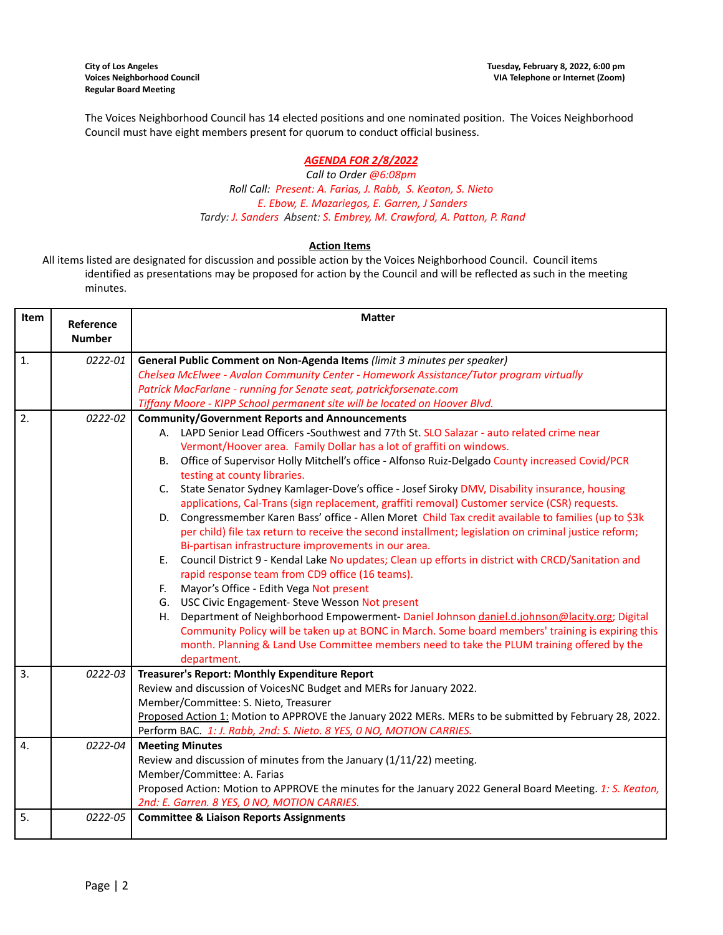The Voices Neighborhood Council has 14 elected positions and one nominated position. The Voices Neighborhood Council must have eight members present for quorum to conduct official business.

# *AGENDA FOR 2/8/2022*

*Call to Order @6:08pm Roll Call: Present: A. Farias, J. Rabb, S. Keaton, S. Nieto E. Ebow, E. Mazariegos, E. Garren, J Sanders Tardy: J. Sanders Absent: S. Embrey, M. Crawford, A. Patton, P. Rand*

## **Action Items**

All items listed are designated for discussion and possible action by the Voices Neighborhood Council. Council items identified as presentations may be proposed for action by the Council and will be reflected as such in the meeting minutes.

| Item             | Reference     | <b>Matter</b>                                                                                            |  |  |
|------------------|---------------|----------------------------------------------------------------------------------------------------------|--|--|
|                  | <b>Number</b> |                                                                                                          |  |  |
| 1.               | 0222-01       | General Public Comment on Non-Agenda Items (limit 3 minutes per speaker)                                 |  |  |
|                  |               | Chelsea McElwee - Avalon Community Center - Homework Assistance/Tutor program virtually                  |  |  |
|                  |               | Patrick MacFarlane - running for Senate seat, patrickforsenate.com                                       |  |  |
|                  |               | Tiffany Moore - KIPP School permanent site will be located on Hoover Blvd.                               |  |  |
| 2.               | 0222-02       | <b>Community/Government Reports and Announcements</b>                                                    |  |  |
|                  |               | A. LAPD Senior Lead Officers -Southwest and 77th St. SLO Salazar - auto related crime near               |  |  |
|                  |               | Vermont/Hoover area. Family Dollar has a lot of graffiti on windows.                                     |  |  |
|                  |               | B. Office of Supervisor Holly Mitchell's office - Alfonso Ruiz-Delgado County increased Covid/PCR        |  |  |
|                  |               | testing at county libraries.                                                                             |  |  |
|                  |               | C. State Senator Sydney Kamlager-Dove's office - Josef Siroky DMV, Disability insurance, housing         |  |  |
|                  |               | applications, Cal-Trans (sign replacement, graffiti removal) Customer service (CSR) requests.            |  |  |
|                  |               | Congressmember Karen Bass' office - Allen Moret Child Tax credit available to families (up to \$3k<br>D. |  |  |
|                  |               | per child) file tax return to receive the second installment; legislation on criminal justice reform;    |  |  |
|                  |               | Bi-partisan infrastructure improvements in our area.                                                     |  |  |
|                  |               | Council District 9 - Kendal Lake No updates; Clean up efforts in district with CRCD/Sanitation and<br>Е. |  |  |
|                  |               | rapid response team from CD9 office (16 teams).                                                          |  |  |
|                  |               | Mayor's Office - Edith Vega Not present<br>F.                                                            |  |  |
|                  |               | G. USC Civic Engagement- Steve Wesson Not present                                                        |  |  |
|                  |               | Department of Neighborhood Empowerment- Daniel Johnson daniel.d.johnson@lacity.org; Digital<br>Н.        |  |  |
|                  |               | Community Policy will be taken up at BONC in March. Some board members' training is expiring this        |  |  |
|                  |               | month. Planning & Land Use Committee members need to take the PLUM training offered by the               |  |  |
| $\overline{3}$ . | 0222-03       | department.<br>Treasurer's Report: Monthly Expenditure Report                                            |  |  |
|                  |               | Review and discussion of VoicesNC Budget and MERs for January 2022.                                      |  |  |
|                  |               | Member/Committee: S. Nieto, Treasurer                                                                    |  |  |
|                  |               | Proposed Action 1: Motion to APPROVE the January 2022 MERs. MERs to be submitted by February 28, 2022.   |  |  |
|                  |               | Perform BAC. 1: J. Rabb, 2nd: S. Nieto. 8 YES, 0 NO, MOTION CARRIES.                                     |  |  |
| $\overline{4}$ . | 0222-04       | <b>Meeting Minutes</b>                                                                                   |  |  |
|                  |               | Review and discussion of minutes from the January (1/11/22) meeting.                                     |  |  |
|                  |               | Member/Committee: A. Farias                                                                              |  |  |
|                  |               | Proposed Action: Motion to APPROVE the minutes for the January 2022 General Board Meeting. 1: S. Keaton, |  |  |
|                  |               | 2nd: E. Garren. 8 YES, 0 NO, MOTION CARRIES.                                                             |  |  |
| $\overline{5}$ . | 0222-05       | <b>Committee &amp; Liaison Reports Assignments</b>                                                       |  |  |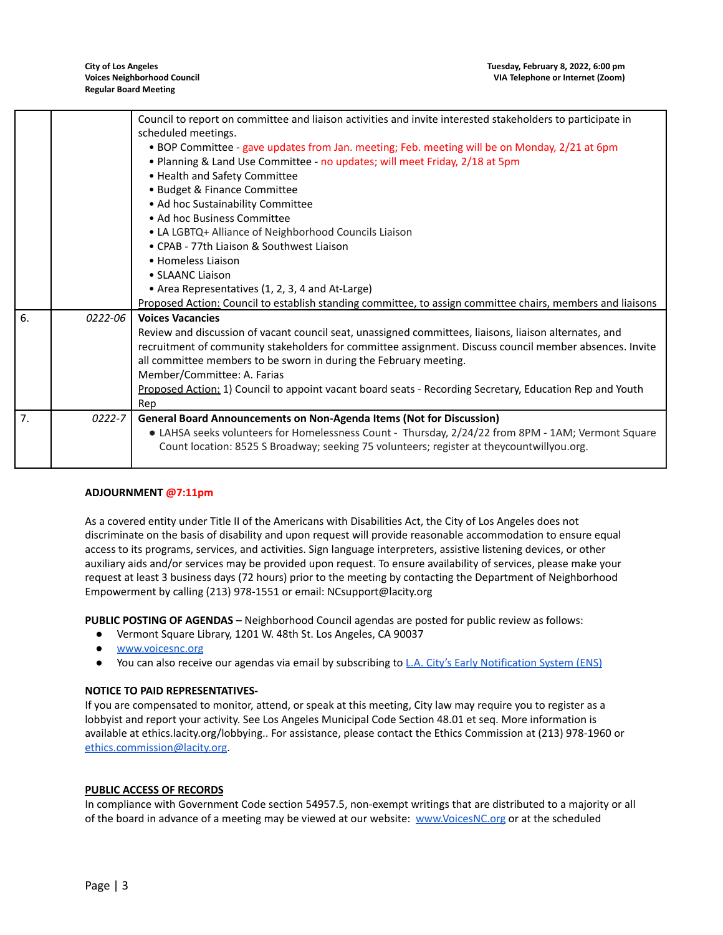|    |         | Council to report on committee and liaison activities and invite interested stakeholders to participate in |  |  |
|----|---------|------------------------------------------------------------------------------------------------------------|--|--|
|    |         | scheduled meetings.                                                                                        |  |  |
|    |         | . BOP Committee - gave updates from Jan. meeting; Feb. meeting will be on Monday, 2/21 at 6pm              |  |  |
|    |         | . Planning & Land Use Committee - no updates; will meet Friday, 2/18 at 5pm                                |  |  |
|    |         | • Health and Safety Committee                                                                              |  |  |
|    |         | • Budget & Finance Committee                                                                               |  |  |
|    |         | • Ad hoc Sustainability Committee                                                                          |  |  |
|    |         | • Ad hoc Business Committee                                                                                |  |  |
|    |         | • LA LGBTQ+ Alliance of Neighborhood Councils Liaison                                                      |  |  |
|    |         | • CPAB - 77th Liaison & Southwest Liaison                                                                  |  |  |
|    |         | • Homeless Liaison                                                                                         |  |  |
|    |         | • SLAANC Liaison                                                                                           |  |  |
|    |         | • Area Representatives (1, 2, 3, 4 and At-Large)                                                           |  |  |
|    |         | Proposed Action: Council to establish standing committee, to assign committee chairs, members and liaisons |  |  |
| 6. | 0222-06 | <b>Voices Vacancies</b>                                                                                    |  |  |
|    |         | Review and discussion of vacant council seat, unassigned committees, liaisons, liaison alternates, and     |  |  |
|    |         | recruitment of community stakeholders for committee assignment. Discuss council member absences. Invite    |  |  |
|    |         | all committee members to be sworn in during the February meeting.                                          |  |  |
|    |         | Member/Committee: A. Farias                                                                                |  |  |
|    |         | Proposed Action: 1) Council to appoint vacant board seats - Recording Secretary, Education Rep and Youth   |  |  |
|    |         | Rep                                                                                                        |  |  |
| 7. | 0222-7  | General Board Announcements on Non-Agenda Items (Not for Discussion)                                       |  |  |
|    |         | • LAHSA seeks volunteers for Homelessness Count - Thursday, 2/24/22 from 8PM - 1AM; Vermont Square         |  |  |
|    |         | Count location: 8525 S Broadway; seeking 75 volunteers; register at theycountwillyou.org.                  |  |  |
|    |         |                                                                                                            |  |  |

# **ADJOURNMENT @7:11pm**

As a covered entity under Title II of the Americans with Disabilities Act, the City of Los Angeles does not discriminate on the basis of disability and upon request will provide reasonable accommodation to ensure equal access to its programs, services, and activities. Sign language interpreters, assistive listening devices, or other auxiliary aids and/or services may be provided upon request. To ensure availability of services, please make your request at least 3 business days (72 hours) prior to the meeting by contacting the Department of Neighborhood Empowerment by calling (213) 978-1551 or email: NCsupport@lacity.org

**PUBLIC POSTING OF AGENDAS** – Neighborhood Council agendas are posted for public review as follows:

- Vermont Square Library, 1201 W. 48th St. Los Angeles, CA 90037
- [www.voicesnc.org](http://www.voicesnc.org)
- You can also receive our agendas via email by subscribing to L.A. City's Early [Notification](https://www.lacity.org/government/subscribe-agendasnotifications/neighborhood-councils) System (ENS)

#### **NOTICE TO PAID REPRESENTATIVES-**

If you are compensated to monitor, attend, or speak at this meeting, City law may require you to register as a lobbyist and report your activity. See Los Angeles Municipal Code Section 48.01 et seq. More information is available at ethics.lacity.org/lobbying.. For assistance, please contact the Ethics Commission at (213) 978-1960 or [ethics.commission@lacity.org](mailto:ethics.commission@lacity.org).

#### **PUBLIC ACCESS OF RECORDS**

In compliance with Government Code section 54957.5, non-exempt writings that are distributed to a majority or all of the board in advance of a meeting may be viewed at our website: [www.VoicesNC.org](http://www.voicesnc.org) or at the scheduled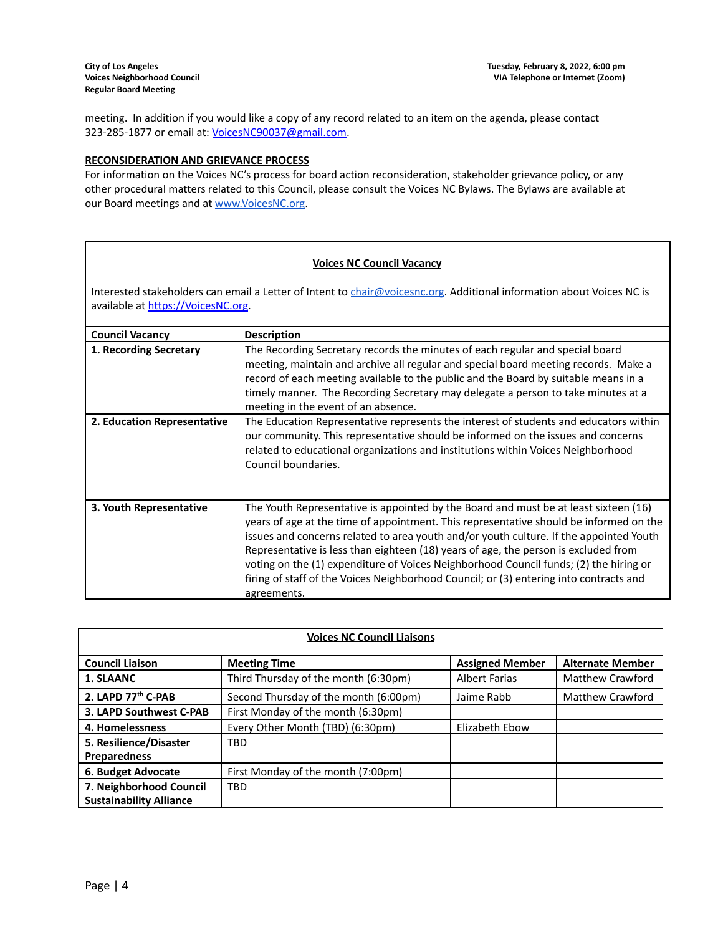meeting. In addition if you would like a copy of any record related to an item on the agenda, please contact 323-285-1877 or email at: [VoicesNC90037@gmail.com.](mailto:VoicesNC90037@gmail.com)

## **RECONSIDERATION AND GRIEVANCE PROCESS**

For information on the Voices NC's process for board action reconsideration, stakeholder grievance policy, or any other procedural matters related to this Council, please consult the Voices NC Bylaws. The Bylaws are available at our Board meetings and at [www.VoicesNC.org](http://www.voicesnc.org).

# **Voices NC Council Vacancy**

Interested stakeholders can email a Letter of Intent to [chair@voicesnc.org](mailto:chair@voicesnc.org). Additional information about Voices NC is available at [https://VoicesNC.org](https://protect-us.mimecast.com/s/E5C9CqxMrGcYVDosZ0ERi).

| <b>Council Vacancy</b>      | <b>Description</b>                                                                                                                                                                                                                                                                                                                                                                                                                                                                                                                                                |
|-----------------------------|-------------------------------------------------------------------------------------------------------------------------------------------------------------------------------------------------------------------------------------------------------------------------------------------------------------------------------------------------------------------------------------------------------------------------------------------------------------------------------------------------------------------------------------------------------------------|
| 1. Recording Secretary      | The Recording Secretary records the minutes of each regular and special board<br>meeting, maintain and archive all regular and special board meeting records. Make a<br>record of each meeting available to the public and the Board by suitable means in a<br>timely manner. The Recording Secretary may delegate a person to take minutes at a<br>meeting in the event of an absence.                                                                                                                                                                           |
| 2. Education Representative | The Education Representative represents the interest of students and educators within<br>our community. This representative should be informed on the issues and concerns<br>related to educational organizations and institutions within Voices Neighborhood<br>Council boundaries.                                                                                                                                                                                                                                                                              |
| 3. Youth Representative     | The Youth Representative is appointed by the Board and must be at least sixteen (16)<br>years of age at the time of appointment. This representative should be informed on the<br>issues and concerns related to area youth and/or youth culture. If the appointed Youth<br>Representative is less than eighteen (18) years of age, the person is excluded from<br>voting on the (1) expenditure of Voices Neighborhood Council funds; (2) the hiring or<br>firing of staff of the Voices Neighborhood Council; or (3) entering into contracts and<br>agreements. |

| <b>Voices NC Council Liaisons</b> |                                       |                        |                         |
|-----------------------------------|---------------------------------------|------------------------|-------------------------|
| <b>Council Liaison</b>            | <b>Meeting Time</b>                   | <b>Assigned Member</b> | <b>Alternate Member</b> |
| 1. SLAANC                         | Third Thursday of the month (6:30pm)  | <b>Albert Farias</b>   | Matthew Crawford        |
| 2. LAPD 77 <sup>th</sup> C-PAB    | Second Thursday of the month (6:00pm) | Jaime Rabb             | Matthew Crawford        |
| 3. LAPD Southwest C-PAB           | First Monday of the month (6:30pm)    |                        |                         |
| 4. Homelessness                   | Every Other Month (TBD) (6:30pm)      | Elizabeth Ebow         |                         |
| 5. Resilience/Disaster            | TBD                                   |                        |                         |
| <b>Preparedness</b>               |                                       |                        |                         |
| 6. Budget Advocate                | First Monday of the month (7:00pm)    |                        |                         |
| 7. Neighborhood Council           | <b>TBD</b>                            |                        |                         |
| <b>Sustainability Alliance</b>    |                                       |                        |                         |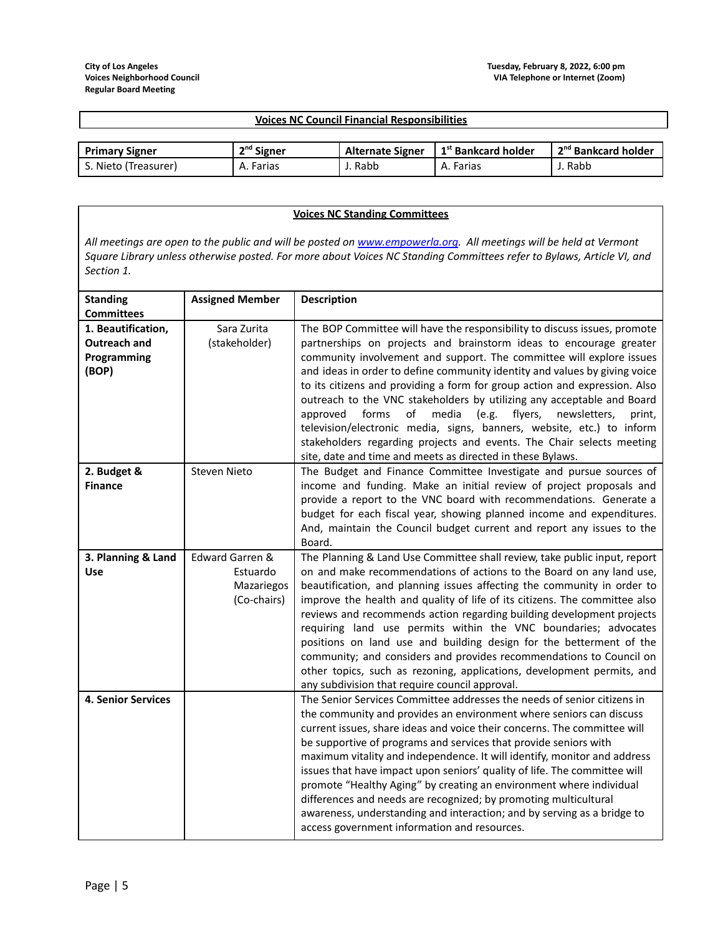| <b>Voices NC Council Financial Responsibilities</b> |              |                         |                                         |                                   |
|-----------------------------------------------------|--------------|-------------------------|-----------------------------------------|-----------------------------------|
|                                                     |              |                         |                                         |                                   |
| <b>Primary Signer</b>                               | $2nd$ Signer | <b>Alternate Signer</b> | $\cdot$ 1 <sup>st</sup> Bankcard holder | , 2 <sup>nd</sup> Bankcard holder |
| S. Nieto (Treasurer)                                | A. Farias    | J. Rabb                 | A. Farias                               | J. Rabb                           |

#### **Voices NC Standing Committees** All meetings are open to the public and will be posted on [www.empowerla.org](http://www.empowerla.org). All meetings will be held at Vermont Square Library unless otherwise posted. For more about Voices NC Standing Committees refer to Bylaws, Article VI, and *Section 1.* **Standing Committees Assigned Member Description 1. Beautification, Outreach and Programming (BOP)** Sara Zurita (stakeholder) The BOP Committee will have the responsibility to discuss issues, promote partnerships on projects and brainstorm ideas to encourage greater community involvement and support. The committee will explore issues and ideas in order to define community identity and values by giving voice to its citizens and providing a form for group action and expression. Also outreach to the VNC stakeholders by utilizing any acceptable and Board approved forms of media (e.g. flyers, newsletters, print, television/electronic media, signs, banners, website, etc.) to inform stakeholders regarding projects and events. The Chair selects meeting site, date and time and meets as directed in these Bylaws. **2. Budget & Finance** Steven Nieto The Budget and Finance Committee Investigate and pursue sources of income and funding. Make an initial review of project proposals and provide a report to the VNC board with recommendations. Generate a budget for each fiscal year, showing planned income and expenditures. And, maintain the Council budget current and report any issues to the Board. **3. Planning & Land Use** Edward Garren & Estuardo Mazariegos (Co-chairs) The Planning & Land Use Committee shall review, take public input, report on and make recommendations of actions to the Board on any land use, beautification, and planning issues affecting the community in order to improve the health and quality of life of its citizens. The committee also reviews and recommends action regarding building development projects requiring land use permits within the VNC boundaries; advocates positions on land use and building design for the betterment of the community; and considers and provides recommendations to Council on other topics, such as rezoning, applications, development permits, and any subdivision that require council approval. **4. Senior Services** The Senior Services Committee addresses the needs of senior citizens in the community and provides an environment where seniors can discuss current issues, share ideas and voice their concerns. The committee will be supportive of programs and services that provide seniors with maximum vitality and independence. It will identify, monitor and address issues that have impact upon seniors' quality of life. The committee will promote "Healthy Aging" by creating an environment where individual differences and needs are recognized; by promoting multicultural awareness, understanding and interaction; and by serving as a bridge to access government information and resources.